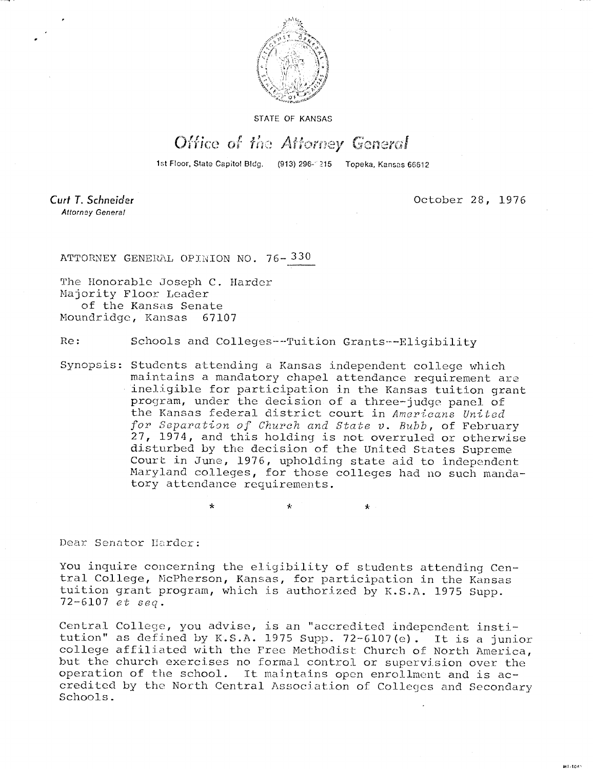

STATE OF KANSAS

## Office of the Attorney General

1st Floor, State Capitol Bldg. (913) 296-1215 Topeka, Kansas 66612

Curt T. Schneider Attorney General

October 28, 1976

MI-1043

ATTORNEY GENERAL OPINION NO. 76- 330

The Honorable Joseph C. Harder Majority Floor Leader of the Kansas Senate Moundridge, Kansas 67107

Re: Schools and Colleges--Tuition Grants---Eligibility

Synopsis: Students attending a Kansas independent college which maintains a mandatory chapel attendance requirement are 'ineligible for participation in the Kansas tuition grant program, under the decision of a three-judge panel of the Kansas federal district court in Americans United for Separation of Church and State v. Bubb, of February 27, 1974, and this holding is not overruled or otherwise disturbed by the decision of the United States Supreme Court in June, 1976, upholding state aid to independent Maryland colleges, for those colleges had no such mandatory attendance requirements.

> \*  $\Phi$

Dear Senator Harder:

You inquire concerning the eligibility of students attending Central College, McPherson, Kansas, for participation in the Kansas tuition grant program, which is authorized by K.S.A. 1975 Supp. 72-6107 et seq.

Central College, you advise, is an "accredited independent institution" as defined by K.S.A. 1975 Supp. 72-6107(e). It is a junior college affiliated with the Free Methodist Church of North America, but the church exercises no formal control or supervision over the operation of the school. It maintains open enrollment and is accredited by the North Central Association of Colleges and Secondary Schools.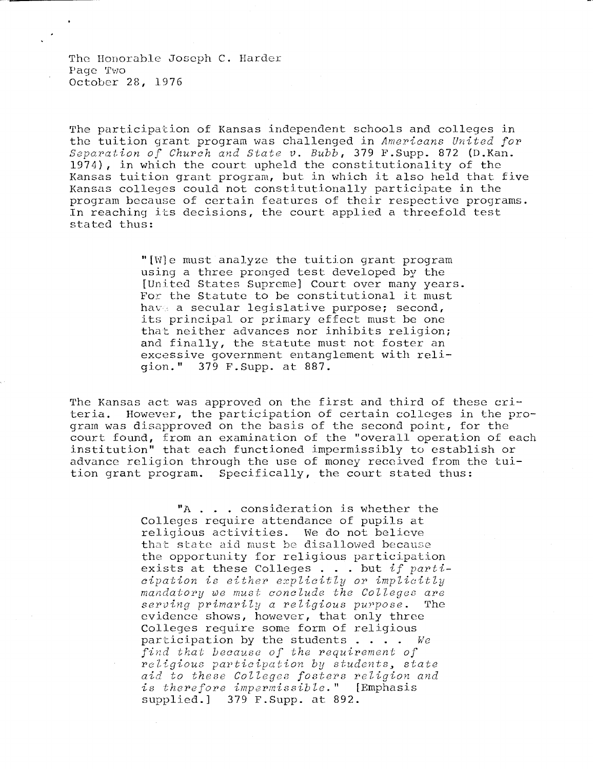The Honorable Joseph C. Harder Page Two October 28, 1976

The participation of Kansas independent schools and colleges in the tuition grant program was challenged in Americans United for Separation of Church and State v. Bubb, 379 F.Supp. 872 (D.Kan. 1974), in which the court upheld the constitutionality of the Kansas tuition grant program, but in which it also held that five Kansas colleges could not constitutionally participate in the program because of certain features of their respective programs. In reaching its decisions, the court applied a threefold test stated thus:

> "[W]e must analyze the tuition grant program using a three pronged test developed by the [United States Supreme] Court over many years. For the Statute to be constitutional it must have a secular legislative purpose; second, its principal or primary effect must be one that neither advances nor inhibits religion; and finally, the statute must not foster an excessive government entanglement with religion." 379 F.Supp. at 887.

The Kansas act was approved on the first and third of these criteria. However, the participation of certain colleges in the program was disapproved on the basis of the second point, for the court found, from an examination of the "overall operation of each institution" that each functioned impermissibly to establish or advance religion through the use of money received from the tuition grant program. Specifically, the court stated thus:

> "A . . consideration is whether the Colleges require attendance of pupils at religious activities. We do not believe that state aid must be disallowed because the opportunity for religious participation exists at these Colleges . . . but if  $parti$ cipation is either explicitly or implicitly mandatory we must conclude the Colleges are serving primarily a religious purpose. The evidence shows, however, that only three Colleges require some form of religious participation by the students  $\ldots$  . We find that because of the requirement of religious participation by students, state aid to these Colleges fosters religion and is therefore impermissible." [Emphasis supplied.] 379 F.Supp. at 892.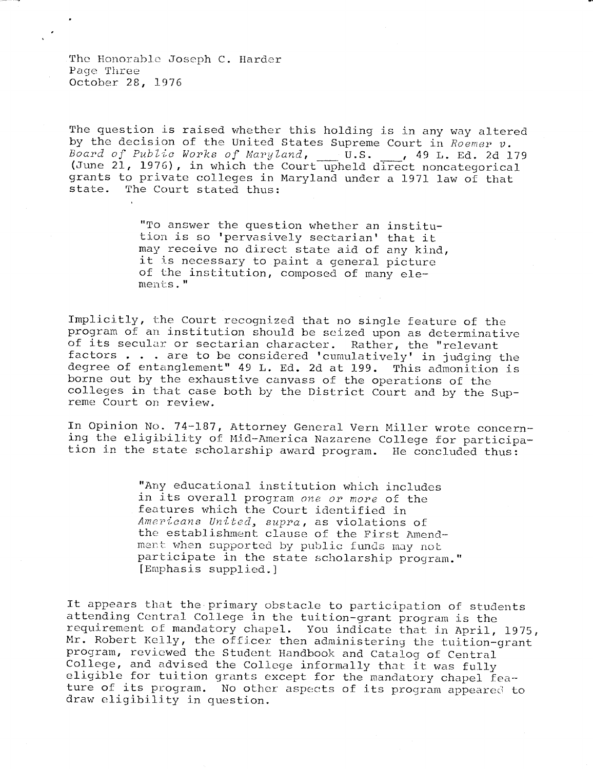The Honorable Joseph C. Harder Page Three October 28, 1976

The question is raised whether this holding is in any way altered by the decision of the United States Supreme Court in Roemer v.<br>Board of Public Works of Maryland, U.S., 19 L. Ed. 2d 179 Board of Public Works of Maryland,  $U.S.$ (June 21, 1976), in which the Court upheld direct noncategorical grants to private colleges in Maryland under a 1971 law of that<br>state. The Court stated thus: The Court stated thus:

> "To answer the question whether an institution is so 'pervasively sectarian' that it may receive no direct state aid of any kind, it is necessary to paint a general picture of the institution, composed of many elements."

Implicitly, the Court recognized that no single feature of the program of an institution should be seized upon as determinative of its secular or sectarian character. Rather, the "relevant factors . . . are to be considered 'cumulatively' in judging the degree of entanglement" 49 L. Ed. 2d at 199. This admonition is borne out by the exhaustive canvass of the operations of the colleges in that case both by the District Court and by the Supreme Court on review.

In Opinion No. 74-187, Attorney General Vern Miller wrote concerning the eligibility of Mid-America Nazarene College for participation in the state scholarship award program. He concluded thus:

> "Any educational institution which includes in its overall program one or more of the features which the Court identified in Americans United, supra, as violations of the establishment clause of the First Amendment when supported by public funds may not participate in the state scholarship program." [Emphasis supplied.]

It appears that the primary obstacle to participation of students attending Central College in the tuition-grant program is the requirement of mandatory chapel. You indicate that in April, 1975, Mr. Robert Kelly, the officer then administering the tuition-grant program, reviewed the Student Handbook and Catalog of Central College, and advised the College informally that it was fully eligible for tuition grants except for the mandatory chapel feature of its program. No other aspects of its program appeared to draw eligibility in question.